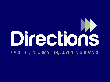# Directions

CAREERS, INFORMATION, ADVICE & GUIDANCE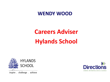#### **WENDY WOOD**

# **Careers Adviser Hylands School**



inspire . challenge . achieve

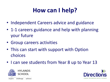### **How can I help?**

- Independent Careers advice and guidance
- 1-1 careers guidance and help with planning your future
- Group careers activities
- This can start with support with Option choices
- I can see students from Year 8 up to Year 13



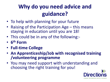#### **Why do you need advice and guidance?**

- To help with planning for your future
- Raising of the Participation Age this means staying in education until you are 18!
- This could be in any of the following:-
- **6 th Form**
- **Full-time College**
- **An Apprenticeship/Job with recognised training /volunteering programme**
- You may need support with understanding and choosing the right training for you!

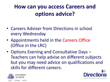#### **How can you access Careers and options advice?**

- Careers Adviser from Directions in school every Wednesday
- Appointments held in the Careers Office (Office in the LRC)
- Options Evening and Consultative Days Teachers can help advise on different subjects but you may need advice on qualifications and skills for different careers.



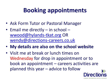## **Booking appointments**

- Ask Form Tutor or Pastoral Manager
- Email me directly in school [wwood@hylands-tkat.org](mailto:wwood@hylands-tkat.org) OR [wendy@directions-careers.co.uk](mailto:wendy@directions-careers.co.uk)
- **My details are also on the school website**
- Visit me at break or lunch times on Wednesday for drop in appointment or to book an appointment – careers activities are planned this year – advice to follow

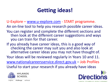#### **Getting ideas!**

U-Explore – [www.u-explore.com](http://www.u-explore.com/) - START programme.

An on-line tool to help you research possible career ideas.

- You can register and complete the different sections and then look at the different career suggestions and ways you can train for that career.
- If you already have career ideas, this is a good way of checking the career may suit you and also look at alternative career ideas you may not have thought of. Your ideas will be reviewed regularly in Years 10 and 11. [www.nationalcareersservice.direct.gov.uk](http://www.nationalcareersservice.direct.gov.uk/) – Job Profiles Useful to start your research if you already have ideas



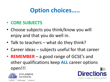#### **Option choices…..**

#### • **CORE SUBJECTS**

- Choose subjects you think/know you will enjoy and that you do well in.
- Talk to teachers what do they think?
- Career ideas subjects useful for that career
- **REMEMBER** a good range of GCSE's and other qualifications keep **ALL** career options open!!!